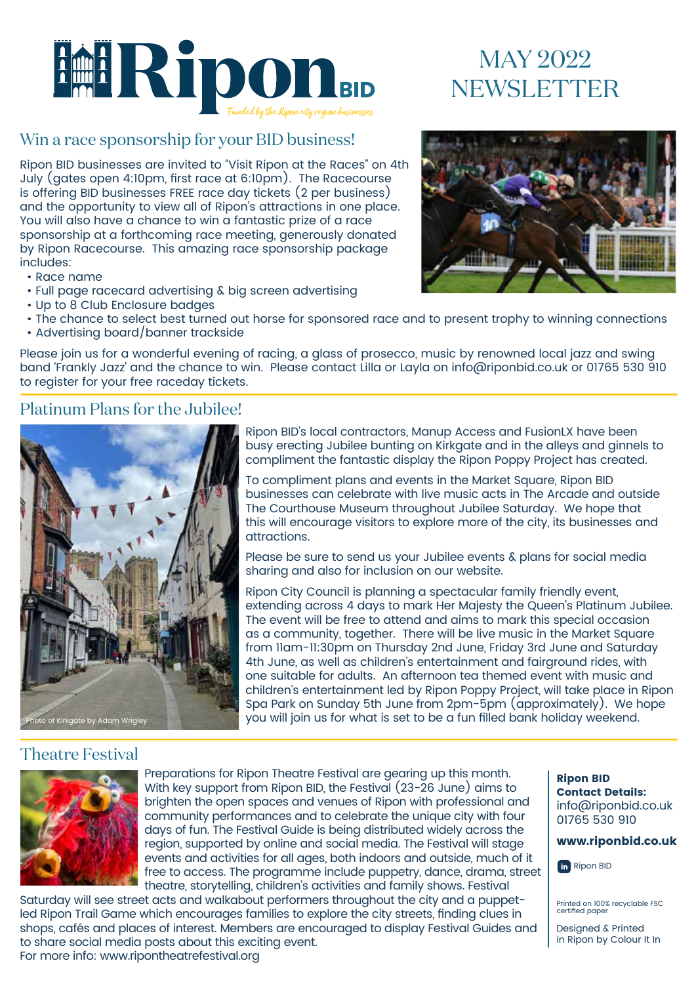

# MAY 2022 NEWSLETTER

#### Win a race sponsorship for your BID business!

Ripon BID businesses are invited to "Visit Ripon at the Races" on 4th July (gates open 4:10pm, first race at 6:10pm). The Racecourse is offering BID businesses FREE race day tickets (2 per business) and the opportunity to view all of Ripon's attractions in one place. You will also have a chance to win a fantastic prize of a race sponsorship at a forthcoming race meeting, generously donated by Ripon Racecourse. This amazing race sponsorship package includes:

- Race name
- Full page racecard advertising & big screen advertising
- Up to 8 Club Enclosure badges
- The chance to select best turned out horse for sponsored race and to present trophy to winning connections
- Advertising board/banner trackside

Please join us for a wonderful evening of racing, a glass of prosecco, music by renowned local jazz and swing band 'Frankly Jazz' and the chance to win. Please contact Lilla or Layla on info@riponbid.co.uk or 01765 530 910 to register for your free raceday tickets.

#### Platinum Plans for the Jubilee!



Ripon BID's local contractors, Manup Access and FusionLX have been busy erecting Jubilee bunting on Kirkgate and in the alleys and ginnels to compliment the fantastic display the Ripon Poppy Project has created.

To compliment plans and events in the Market Square, Ripon BID businesses can celebrate with live music acts in The Arcade and outside The Courthouse Museum throughout Jubilee Saturday. We hope that this will encourage visitors to explore more of the city, its businesses and attractions.

Please be sure to send us your Jubilee events & plans for social media sharing and also for inclusion on our website.

Ripon City Council is planning a spectacular family friendly event, extending across 4 days to mark Her Majesty the Queen's Platinum Jubilee. The event will be free to attend and aims to mark this special occasion as a community, together. There will be live music in the Market Square from 11am-11:30pm on Thursday 2nd June, Friday 3rd June and Saturday 4th June, as well as children's entertainment and fairground rides, with one suitable for adults. An afternoon tea themed event with music and children's entertainment led by Ripon Poppy Project, will take place in Ripon Spa Park on Sunday 5th June from 2pm-5pm (approximately). We hope you will join us for what is set to be a fun filled bank holiday weekend.

#### Theatre Festival



Preparations for Ripon Theatre Festival are gearing up this month. With key support from Ripon BID, the Festival (23-26 June) aims to brighten the open spaces and venues of Ripon with professional and community performances and to celebrate the unique city with four days of fun. The Festival Guide is being distributed widely across the region, supported by online and social media. The Festival will stage events and activities for all ages, both indoors and outside, much of it free to access. The programme include puppetry, dance, drama, street theatre, storytelling, children's activities and family shows. Festival

Saturday will see street acts and walkabout performers throughout the city and a puppetled Ripon Trail Game which encourages families to explore the city streets, finding clues in shops, cafés and places of interest. Members are encouraged to display Festival Guides and to share social media posts about this exciting event. For more info: www.ripontheatrefestival.org



Ripon BID Contact Details: info@riponbid.co.uk 01765 530 910



**fin** Ripon BID

Printed on 100% recyclable FSC certified paper

Designed & Printed in Ripon by Colour It In